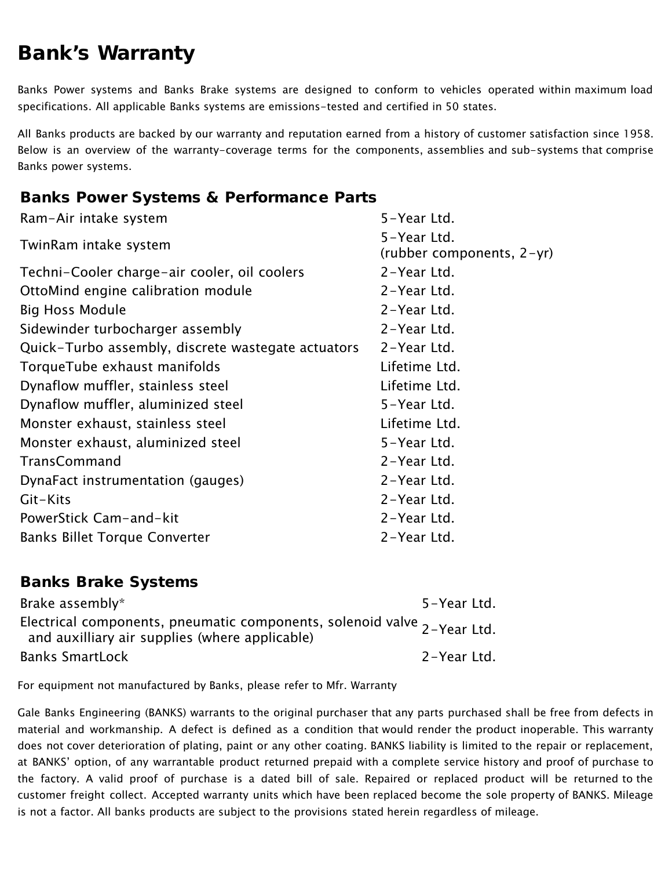## Bank's Warranty

Banks Power systems and Banks Brake systems are designed to conform to vehicles operated within maximum load specifications. All applicable Banks systems are emissions-tested and certified in 50 states.

All Banks products are backed by our warranty and reputation earned from a history of customer satisfaction since 1958. Below is an overview of the warranty-coverage terms for the components, assemblies and sub-systems that comprise Banks power systems.

## Banks Power Systems & Performance Parts

| Ram-Air intake system                              | 5-Year Ltd.               |
|----------------------------------------------------|---------------------------|
| TwinRam intake system                              | 5-Year Ltd.               |
|                                                    | (rubber components, 2-yr) |
| Techni-Cooler charge-air cooler, oil coolers       | 2-Year Ltd.               |
| OttoMind engine calibration module                 | 2-Year Ltd.               |
| <b>Big Hoss Module</b>                             | 2-Year Ltd.               |
| Sidewinder turbocharger assembly                   | 2-Year Ltd.               |
| Quick-Turbo assembly, discrete wastegate actuators | 2-Year Ltd.               |
| TorqueTube exhaust manifolds                       | Lifetime Ltd.             |
| Dynaflow muffler, stainless steel                  | Lifetime Ltd.             |
| Dynaflow muffler, aluminized steel                 | 5-Year Ltd.               |
| Monster exhaust, stainless steel                   | Lifetime Ltd.             |
| Monster exhaust, aluminized steel                  | 5-Year Ltd.               |
| TransCommand                                       | 2-Year Ltd.               |
| DynaFact instrumentation (gauges)                  | 2-Year Ltd.               |
| Git-Kits                                           | 2-Year Ltd.               |
| PowerStick Cam-and-kit                             | 2-Year Ltd.               |
| <b>Banks Billet Torque Converter</b>               | 2-Year Ltd.               |

## Banks Brake Systems

| Brake assembly*                                                                                                                | 5-Year Ltd. |
|--------------------------------------------------------------------------------------------------------------------------------|-------------|
| Electrical components, pneumatic components, solenoid valve $_{2$ -Year Ltd.<br>and auxilliary air supplies (where applicable) |             |
| <b>Banks SmartLock</b>                                                                                                         | 2-Year Ltd. |

For equipment not manufactured by Banks, please refer to Mfr. Warranty

Gale Banks Engineering (BANKS) warrants to the original purchaser that any parts purchased shall be free from defects in material and workmanship. A defect is defined as a condition that would render the product inoperable. This warranty does not cover deterioration of plating, paint or any other coating. BANKS liability is limited to the repair or replacement, at BANKS' option, of any warrantable product returned prepaid with a complete service history and proof of purchase to the factory. A valid proof of purchase is a dated bill of sale. Repaired or replaced product will be returned to the customer freight collect. Accepted warranty units which have been replaced become the sole property of BANKS. Mileage is not a factor. All banks products are subject to the provisions stated herein regardless of mileage.